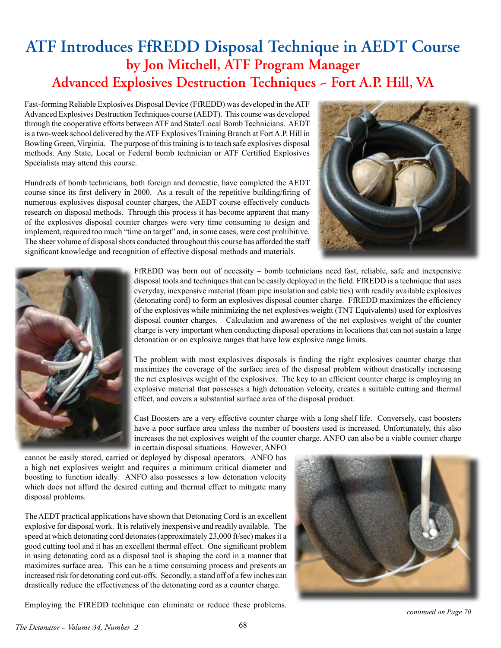## **ATF Introduces FfREDD Disposal Technique in AEDT Course by Jon Mitchell, ATF Program Manager Advanced Explosives Destruction Techniques ~ Fort A.P. Hill, VA**

Fast-forming Reliable Explosives Disposal Device (FfREDD) was developed in the ATF Advanced Explosives Destruction Techniques course (AEDT). This course was developed through the cooperative efforts between ATF and State/Local Bomb Technicians. AEDT is a two-week school delivered by the ATF Explosives Training Branch at Fort A.P. Hill in Bowling Green, Virginia. The purpose of this training is to teach safe explosives disposal methods. Any State, Local or Federal bomb technician or ATF Certified Explosives Specialists may attend this course.

Hundreds of bomb technicians, both foreign and domestic, have completed the AEDT course since its first delivery in 2000. As a result of the repetitive building/firing of numerous explosives disposal counter charges, the AEDT course effectively conducts research on disposal methods. Through this process it has become apparent that many of the explosives disposal counter charges were very time consuming to design and implement, required too much "time on target" and, in some cases, were cost prohibitive. The sheer volume of disposal shots conducted throughout this course has afforded the staff significant knowledge and recognition of effective disposal methods and materials.





FfREDD was born out of necessity – bomb technicians need fast, reliable, safe and inexpensive disposal tools and techniques that can be easily deployed in the field. FfREDD is a technique that uses everyday, inexpensive material (foam pipe insulation and cable ties) with readily available explosives (detonating cord) to form an explosives disposal counter charge. FfREDD maximizes the efficiency of the explosives while minimizing the net explosives weight (TNT Equivalents) used for explosives disposal counter charges. Calculation and awareness of the net explosives weight of the counter charge is very important when conducting disposal operations in locations that can not sustain a large detonation or on explosive ranges that have low explosive range limits.

The problem with most explosives disposals is finding the right explosives counter charge that maximizes the coverage of the surface area of the disposal problem without drastically increasing the net explosives weight of the explosives. The key to an efficient counter charge is employing an explosive material that possesses a high detonation velocity, creates a suitable cutting and thermal effect, and covers a substantial surface area of the disposal product.

Cast Boosters are a very effective counter charge with a long shelf life. Conversely, cast boosters have a poor surface area unless the number of boosters used is increased. Unfortunately, this also increases the net explosives weight of the counter charge. ANFO can also be a viable counter charge in certain disposal situations. However, ANFO

cannot be easily stored, carried or deployed by disposal operators. ANFO has a high net explosives weight and requires a minimum critical diameter and boosting to function ideally. ANFO also possesses a low detonation velocity which does not afford the desired cutting and thermal effect to mitigate many disposal problems.

The AEDT practical applications have shown that Detonating Cord is an excellent explosive for disposal work. It is relatively inexpensive and readily available. The speed at which detonating cord detonates (approximately 23,000 ft/sec) makes it a good cutting tool and it has an excellent thermal effect. One significant problem in using detonating cord as a disposal tool is shaping the cord in a manner that maximizes surface area. This can be a time consuming process and presents an increased risk for detonating cord cut-offs. Secondly, a stand off of a few inches can drastically reduce the effectiveness of the detonating cord as a counter charge.



Employing the FfREDD technique can eliminate or reduce these problems.